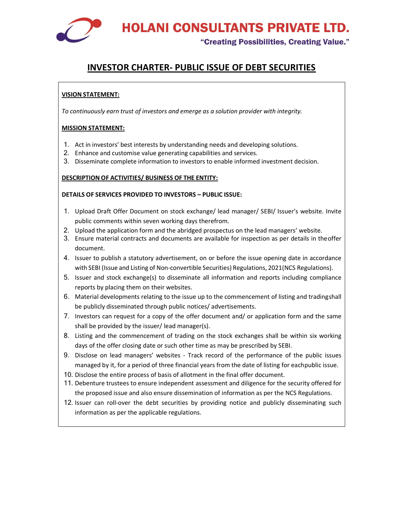"Creating Possibilities, Creating Value."

### INVESTOR CHARTER- PUBLIC ISSUE OF DEBT SECURITIES

#### VISION STATEMENT:

To continuously earn trust of investors and emerge as a solution provider with integrity.

#### MISSION STATEMENT:

- 1. Act in investors' best interests by understanding needs and developing solutions.
- 2. Enhance and customise value generating capabilities and services.
- 3. Disseminate complete information to investors to enable informed investment decision.

#### DESCRIPTION OF ACTIVITIES/ BUSINESS OF THE ENTITY:

#### DETAILS OF SERVICES PROVIDED TO INVESTORS – PUBLIC ISSUE:

- 1. Upload Draft Offer Document on stock exchange/ lead manager/ SEBI/ Issuer's website. Invite public comments within seven working days therefrom.
- 2. Upload the application form and the abridged prospectus on the lead managers' website.
- 3. Ensure material contracts and documents are available for inspection as per details in the offer document.
- 4. Issuer to publish a statutory advertisement, on or before the issue opening date in accordance with SEBI (Issue and Listing of Non-convertible Securities) Regulations, 2021 (NCS Regulations).
- 5. Issuer and stock exchange(s) to disseminate all information and reports including compliance reports by placing them on their websites.
- 6. Material developments relating to the issue up to the commencement of listing and trading shall be publicly disseminated through public notices/ advertisements.
- 7. Investors can request for a copy of the offer document and/ or application form and the same shall be provided by the issuer/ lead manager(s).
- 8. Listing and the commencement of trading on the stock exchanges shall be within six working days of the offer closing date or such other time as may be prescribed by SEBI.
- 9. Disclose on lead managers' websites Track record of the performance of the public issues managed by it, for a period of three financial years from the date of listing for each public issue.
- 10. Disclose the entire process of basis of allotment in the final offer document.
- 11. Debenture trustees to ensure independent assessment and diligence for the security offered for the proposed issue and also ensure dissemination of information as per the NCS Regulations.
- 12. Issuer can roll-over the debt securities by providing notice and publicly disseminating such information as per the applicable regulations.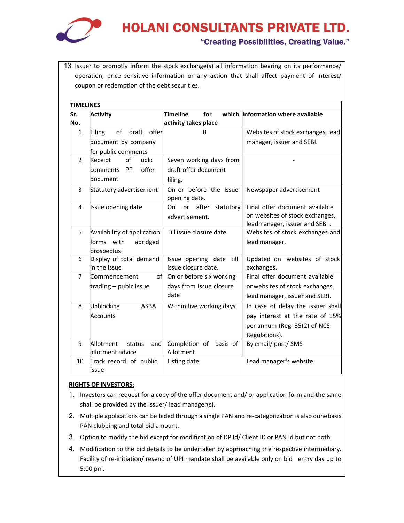

#### "Creating Possibilities, Creating Value."

13. Issuer to promptly inform the stock exchange(s) all information bearing on its performance/ operation, price sensitive information or any action that shall affect payment of interest/ coupon or redemption of the debt securities.

| lSr.<br>No.    | Activity                    | Timeline<br>for<br>activity takes place | which Information where available |
|----------------|-----------------------------|-----------------------------------------|-----------------------------------|
| 1              | of<br>Filing<br>draft offer | $\Omega$                                | Websites of stock exchanges, lead |
|                | document by company         |                                         | manager, issuer and SEBI.         |
|                | for public comments         |                                         |                                   |
| $\overline{2}$ | of<br>ublic<br>Receipt      | Seven working days from                 |                                   |
|                | on<br>offer<br>comments     | draft offer document                    |                                   |
|                | ldocument                   | filing.                                 |                                   |
| 3              | Statutory advertisement     | On or before the Issue                  | Newspaper advertisement           |
|                |                             | opening date.                           |                                   |
| 4              | Issue opening date          | after statutory<br>On<br>or             | Final offer document available    |
|                |                             | advertisement.                          | on websites of stock exchanges,   |
|                |                             |                                         | leadmanager, issuer and SEBI.     |
| 5              | Availability of application | Till issue closure date                 | Websites of stock exchanges and   |
|                | forms with<br>abridged      |                                         | lead manager.                     |
|                | prospectus                  |                                         |                                   |
| 6              | Display of total demand     | Issue opening date till                 | Updated on websites of stock      |
|                | $ $ in the issue            | issue closure date.                     | exchanges.                        |
| $\overline{7}$ | of∣<br>lCommencement        | On or before six working                | Final offer document available    |
|                | trading $-$ pubic issue     | days from Issue closure                 | onwebsites of stock exchanges,    |
|                |                             | date                                    | lead manager, issuer and SEBI.    |
| 8              | Unblocking<br><b>ASBA</b>   | Within five working days                | In case of delay the issuer shall |
|                | Accounts                    |                                         | pay interest at the rate of 15%   |
|                |                             |                                         | per annum (Reg. 35(2) of NCS      |
|                |                             |                                         | Regulations).                     |
| 9              | Allotment<br>status<br>and  | Completion of<br>basis of               | By email/ post/ SMS               |
|                | allotment advice            | Allotment.                              |                                   |
| 10             | Track record of public      | Listing date                            | Lead manager's website            |
|                | lissue                      |                                         |                                   |

#### RIGHTS OF INVESTORS:

- 1. Investors can request for a copy of the offer document and/ or application form and the same shall be provided by the issuer/ lead manager(s).
- 2. Multiple applications can be bided through a single PAN and re-categorization is also done basis PAN clubbing and total bid amount.
- 3. Option to modify the bid except for modification of DP Id/ Client ID or PAN Id but not both.
- 4. Modification to the bid details to be undertaken by approaching the respective intermediary. Facility of re-initiation/ resend of UPI mandate shall be available only on bid entry day up to 5:00 pm.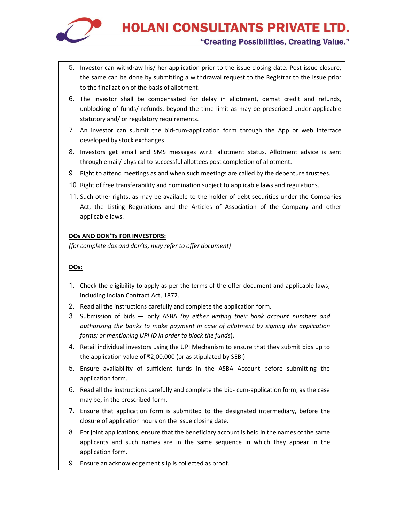

#### "Creating Possibilities, Creating Value."

- 5. Investor can withdraw his/ her application prior to the issue closing date. Post issue closure, the same can be done by submitting a withdrawal request to the Registrar to the Issue prior to the finalization of the basis of allotment.
- 6. The investor shall be compensated for delay in allotment, demat credit and refunds, unblocking of funds/ refunds, beyond the time limit as may be prescribed under applicable statutory and/ or regulatory requirements.
- 7. An investor can submit the bid-cum-application form through the App or web interface developed by stock exchanges.
- 8. Investors get email and SMS messages w.r.t. allotment status. Allotment advice is sent through email/ physical to successful allottees post completion of allotment.
- 9. Right to attend meetings as and when such meetings are called by the debenture trustees.
- 10. Right of free transferability and nomination subject to applicable laws and regulations.
- 11. Such other rights, as may be available to the holder of debt securities under the Companies Act, the Listing Regulations and the Articles of Association of the Company and other applicable laws.

#### DOs AND DON'Ts FOR INVESTORS:

(for complete dos and don'ts, may refer to offer document)

#### DOs:

- 1. Check the eligibility to apply as per the terms of the offer document and applicable laws, including Indian Contract Act, 1872.
- 2. Read all the instructions carefully and complete the application form.
- 3. Submission of bids only ASBA (by either writing their bank account numbers and authorising the banks to make payment in case of allotment by signing the application forms; or mentioning UPI ID in order to block the funds).
- 4. Retail individual investors using the UPI Mechanism to ensure that they submit bids up to the application value of ₹2,00,000 (or as stipulated by SEBI).
- 5. Ensure availability of sufficient funds in the ASBA Account before submitting the application form.
- 6. Read all the instructions carefully and complete the bid- cum-application form, as the case may be, in the prescribed form.
- 7. Ensure that application form is submitted to the designated intermediary, before the closure of application hours on the issue closing date.
- 8. For joint applications, ensure that the beneficiary account is held in the names of the same applicants and such names are in the same sequence in which they appear in the application form.
- 9. Ensure an acknowledgement slip is collected as proof.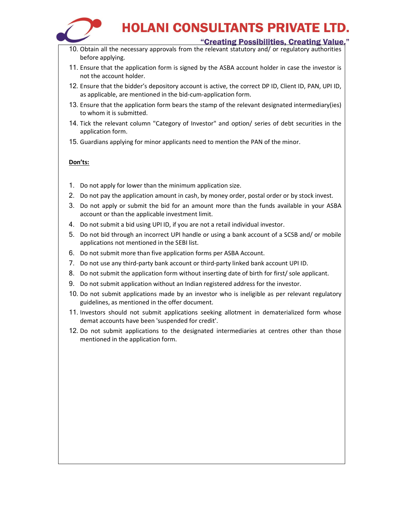

#### "Creating Possibilities, Creating Value."

- 10. Obtain all the necessary approvals from the relevant statutory and/ or regulatory authorities before applying.
- 11. Ensure that the application form is signed by the ASBA account holder in case the investor is not the account holder.
- 12. Ensure that the bidder's depository account is active, the correct DP ID, Client ID, PAN, UPI ID, as applicable, are mentioned in the bid-cum-application form.
- 13. Ensure that the application form bears the stamp of the relevant designated intermediary(ies) to whom it is submitted.
- 14. Tick the relevant column "Category of Investor" and option/ series of debt securities in the application form.
- 15. Guardians applying for minor applicants need to mention the PAN of the minor.

#### Don'ts:

- 1. Do not apply for lower than the minimum application size.
- 2. Do not pay the application amount in cash, by money order, postal order or by stock invest.
- 3. Do not apply or submit the bid for an amount more than the funds available in your ASBA account or than the applicable investment limit.
- 4. Do not submit a bid using UPI ID, if you are not a retail individual investor.
- 5. Do not bid through an incorrect UPI handle or using a bank account of a SCSB and/ or mobile applications not mentioned in the SEBI list.
- 6. Do not submit more than five application forms per ASBA Account.
- 7. Do not use any third-party bank account or third-party linked bank account UPI ID.
- 8. Do not submit the application form without inserting date of birth for first/ sole applicant.
- 9. Do not submit application without an Indian registered address for the investor.
- 10. Do not submit applications made by an investor who is ineligible as per relevant regulatory guidelines, as mentioned in the offer document.
- 11. Investors should not submit applications seeking allotment in dematerialized form whose demat accounts have been 'suspended for credit'.
- 12. Do not submit applications to the designated intermediaries at centres other than those mentioned in the application form.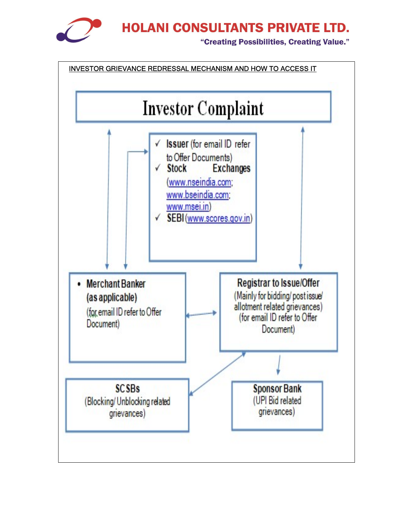

"Creating Possibilities, Creating Value."

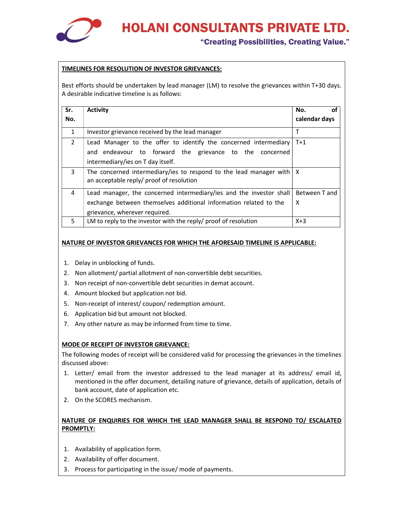

"Creating Possibilities, Creating Value."

#### TIMELINES FOR RESOLUTION OF INVESTOR GRIEVANCES:

Best efforts should be undertaken by lead manager (LM) to resolve the grievances within T+30 days. A desirable indicative timeline is as follows:

| Sr.<br>No.   | <b>Activity</b>                                                                                                                                                           | No.<br>οt<br>calendar days |
|--------------|---------------------------------------------------------------------------------------------------------------------------------------------------------------------------|----------------------------|
| $\mathbf{1}$ | Investor grievance received by the lead manager                                                                                                                           |                            |
| 2            | Lead Manager to the offer to identify the concerned intermediary<br>and endeavour to forward the grievance to the concerned<br>intermediary/ies on T day itself.          | $T+1$                      |
| 3            | The concerned intermediary/ies to respond to the lead manager with $ X $<br>an acceptable reply/ proof of resolution                                                      |                            |
| 4            | Lead manager, the concerned intermediary/ies and the investor shall<br>exchange between themselves additional information related to the<br>grievance, wherever required. | Between T and<br>X         |
| 5.           | LM to reply to the investor with the reply/ proof of resolution                                                                                                           | $X+3$                      |

#### NATURE OF INVESTOR GRIEVANCES FOR WHICH THE AFORESAID TIMELINE IS APPLICABLE:

- 1. Delay in unblocking of funds.
- 2. Non allotment/ partial allotment of non-convertible debt securities.
- 3. Non receipt of non-convertible debt securities in demat account.
- 4. Amount blocked but application not bid.
- 5. Non-receipt of interest/ coupon/ redemption amount.
- 6. Application bid but amount not blocked.
- 7. Any other nature as may be informed from time to time.

#### MODE OF RECEIPT OF INVESTOR GRIEVANCE:

The following modes of receipt will be considered valid for processing the grievances in the timelines discussed above:

- 1. Letter/ email from the investor addressed to the lead manager at its address/ email id, mentioned in the offer document, detailing nature of grievance, details of application, details of bank account, date of application etc.
- 2. On the SCORES mechanism.

#### NATURE OF ENQUIRIES FOR WHICH THE LEAD MANAGER SHALL BE RESPOND TO/ ESCALATED PROMPTLY:

- 1. Availability of application form.
- 2. Availability of offer document.
- 3. Process for participating in the issue/ mode of payments.